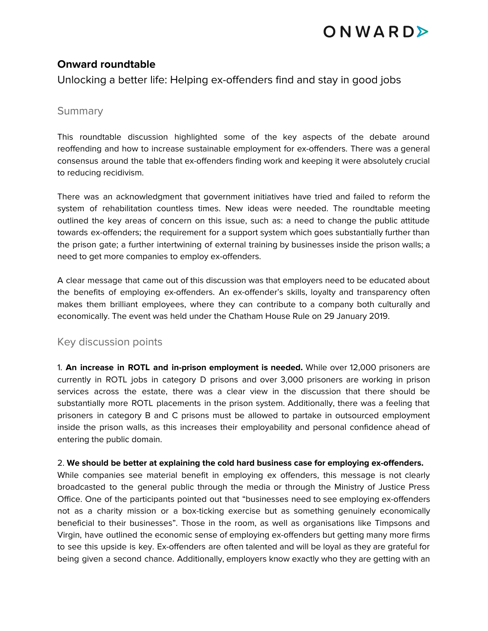# ONWARDE

### **Onward roundtable**

Unlocking a better life: Helping ex-offenders find and stay in good jobs

### **Summary**

This roundtable discussion highlighted some of the key aspects of the debate around reoffending and how to increase sustainable employment for ex-offenders. There was a general consensus around the table that ex-offenders finding work and keeping it were absolutely crucial to reducing recidivism.

There was an acknowledgment that government initiatives have tried and failed to reform the system of rehabilitation countless times. New ideas were needed. The roundtable meeting outlined the key areas of concern on this issue, such as: a need to change the public attitude towards ex-offenders; the requirement for a support system which goes substantially further than the prison gate; a further intertwining of external training by businesses inside the prison walls; a need to get more companies to employ ex-offenders.

A clear message that came out of this discussion was that employers need to be educated about the benefits of employing ex-offenders. An ex-offender's skills, loyalty and transparency often makes them brilliant employees, where they can contribute to a company both culturally and economically. The event was held under the Chatham House Rule on 29 January 2019.

#### Key discussion points

1. **An increase in ROTL and in-prison employment is needed.** While over 12,000 prisoners are currently in ROTL jobs in category D prisons and over 3,000 prisoners are working in prison services across the estate, there was a clear view in the discussion that there should be substantially more ROTL placements in the prison system. Additionally, there was a feeling that prisoners in category B and C prisons must be allowed to partake in outsourced employment inside the prison walls, as this increases their employability and personal confidence ahead of entering the public domain.

#### 2. **We should be better at explaining the cold hard business case for employing ex-offenders.**

While companies see material benefit in employing ex offenders, this message is not clearly broadcasted to the general public through the media or through the Ministry of Justice Press Office. One of the participants pointed out that "businesses need to see employing ex-offenders not as a charity mission or a box-ticking exercise but as something genuinely economically beneficial to their businesses". Those in the room, as well as organisations like Timpsons and Virgin, have outlined the economic sense of employing ex-offenders but getting many more firms to see this upside is key. Ex-offenders are often talented and will be loyal as they are grateful for being given a second chance. Additionally, employers know exactly who they are getting with an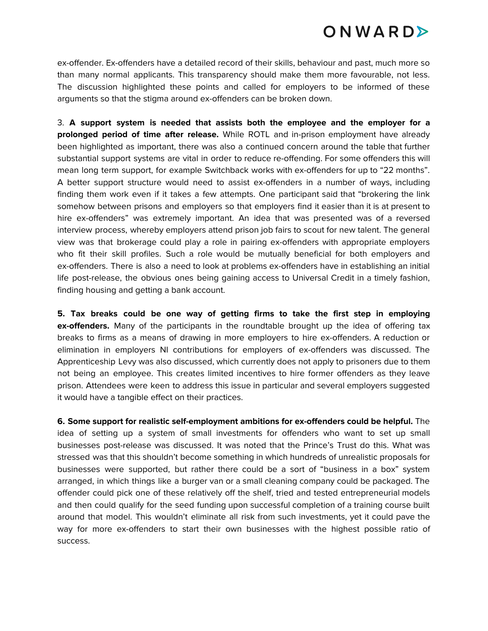# ONWARDE

ex-offender. Ex-offenders have a detailed record of their skills, behaviour and past, much more so than many normal applicants. This transparency should make them more favourable, not less. The discussion highlighted these points and called for employers to be informed of these arguments so that the stigma around ex-offenders can be broken down.

3. **A support system is needed that assists both the employee and the employer for a prolonged period of time after release.** While ROTL and in-prison employment have already been highlighted as important, there was also a continued concern around the table that further substantial support systems are vital in order to reduce re-offending. For some offenders this will mean long term support, for example Switchback works with ex-offenders for up to "22 months". A better support structure would need to assist ex-offenders in a number of ways, including finding them work even if it takes a few attempts. One participant said that "brokering the link somehow between prisons and employers so that employers find it easier than it is at present to hire ex-offenders" was extremely important. An idea that was presented was of a reversed interview process, whereby employers attend prison job fairs to scout for new talent. The general view was that brokerage could play a role in pairing ex-offenders with appropriate employers who fit their skill profiles. Such a role would be mutually beneficial for both employers and ex-offenders. There is also a need to look at problems ex-offenders have in establishing an initial life post-release, the obvious ones being gaining access to Universal Credit in a timely fashion, finding housing and getting a bank account.

**5. Tax breaks could be one way of getting firms to take the first step in employing ex-offenders.** Many of the participants in the roundtable brought up the idea of offering tax breaks to firms as a means of drawing in more employers to hire ex-offenders. A reduction or elimination in employers NI contributions for employers of ex-offenders was discussed. The Apprenticeship Levy was also discussed, which currently does not apply to prisoners due to them not being an employee. This creates limited incentives to hire former offenders as they leave prison. Attendees were keen to address this issue in particular and several employers suggested it would have a tangible effect on their practices.

**6. Some support for realistic self-employment ambitions for ex-offenders could be helpful.** The idea of setting up a system of small investments for offenders who want to set up small businesses post-release was discussed. It was noted that the Prince's Trust do this. What was stressed was that this shouldn't become something in which hundreds of unrealistic proposals for businesses were supported, but rather there could be a sort of "business in a box" system arranged, in which things like a burger van or a small cleaning company could be packaged. The offender could pick one of these relatively off the shelf, tried and tested entrepreneurial models and then could qualify for the seed funding upon successful completion of a training course built around that model. This wouldn't eliminate all risk from such investments, yet it could pave the way for more ex-offenders to start their own businesses with the highest possible ratio of success.